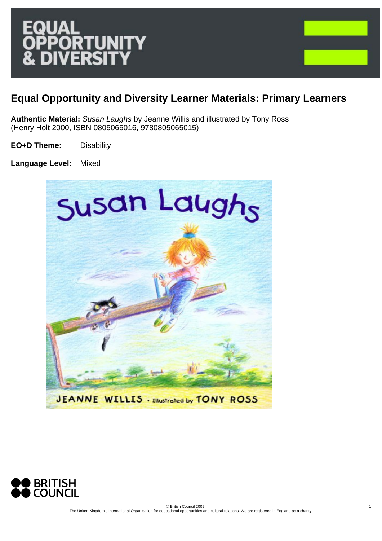1

# **Equal Opportunity and Diversity Learner Materials: Primary Learners**

**Authentic Material:** *Susan Laughs* by Jeanne Willis and illustrated by Tony Ross (Henry Holt 2000, ISBN 0805065016, 9780805065015)

**EO+D Theme:** Disability

**Language Level:** Mixed



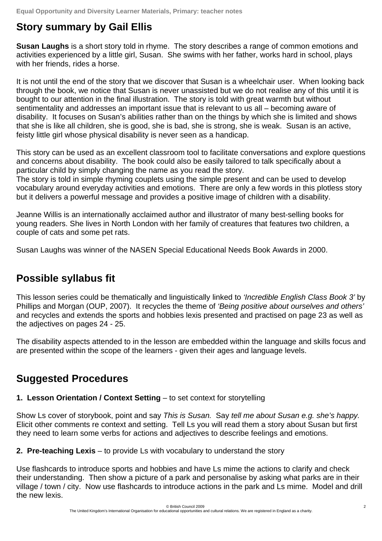# **Story summary by Gail Ellis**

**Susan Laughs** is a short story told in rhyme. The story describes a range of common emotions and activities experienced by a little girl, Susan. She swims with her father, works hard in school, plays with her friends, rides a horse.

It is not until the end of the story that we discover that Susan is a wheelchair user. When looking back through the book, we notice that Susan is never unassisted but we do not realise any of this until it is bought to our attention in the final illustration. The story is told with great warmth but without sentimentality and addresses an important issue that is relevant to us all – becoming aware of disability. It focuses on Susan's abilities rather than on the things by which she is limited and shows that she is like all children, she is good, she is bad, she is strong, she is weak. Susan is an active, feisty little girl whose physical disability is never seen as a handicap.

This story can be used as an excellent classroom tool to facilitate conversations and explore questions and concerns about disability. The book could also be easily tailored to talk specifically about a particular child by simply changing the name as you read the story.

The story is told in simple rhyming couplets using the simple present and can be used to develop vocabulary around everyday activities and emotions. There are only a few words in this plotless story but it delivers a powerful message and provides a positive image of children with a disability.

Jeanne Willis is an internationally acclaimed author and illustrator of many best-selling books for young readers. She lives in North London with her family of creatures that features two children, a couple of cats and some pet rats.

Susan Laughs was winner of the NASEN Special Educational Needs Book Awards in 2000.

# **Possible syllabus fit**

This lesson series could be thematically and linguistically linked to *'Incredible English Class Book 3'* by Phillips and Morgan (OUP, 2007). It recycles the theme of *'Being positive about ourselves and others'* and recycles and extends the sports and hobbies lexis presented and practised on page 23 as well as the adjectives on pages 24 - 25.

The disability aspects attended to in the lesson are embedded within the language and skills focus and are presented within the scope of the learners - given their ages and language levels.

## **Suggested Procedures**

#### **1. Lesson Orientation / Context Setting – to set context for storytelling**

Show Ls cover of storybook, point and say *This is Susan.* Say *tell me about Susan e.g. she's happy.*  Elicit other comments re context and setting. Tell Ls you will read them a story about Susan but first they need to learn some verbs for actions and adjectives to describe feelings and emotions.

**2. Pre-teaching Lexis** – to provide Ls with vocabulary to understand the story

Use flashcards to introduce sports and hobbies and have Ls mime the actions to clarify and check their understanding. Then show a picture of a park and personalise by asking what parks are in their village / town / city. Now use flashcards to introduce actions in the park and Ls mime. Model and drill the new lexis.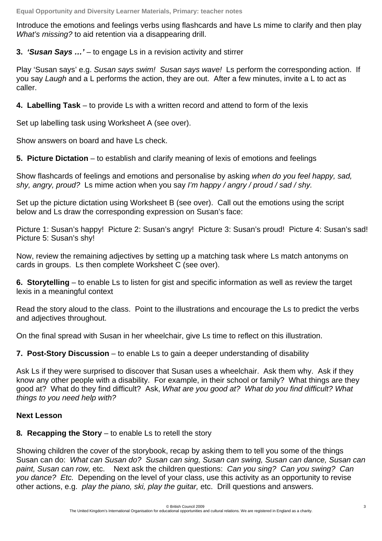Introduce the emotions and feelings verbs using flashcards and have Ls mime to clarify and then play *What's missing?* to aid retention via a disappearing drill.

**3.** *'Susan Says …'* – to engage Ls in a revision activity and stirrer

Play 'Susan says' e.g. *Susan says swim! Susan says wave!* Ls perform the corresponding action. If you say *Laugh* and a L performs the action, they are out. After a few minutes, invite a L to act as caller.

**4. Labelling Task** – to provide Ls with a written record and attend to form of the lexis

Set up labelling task using Worksheet A (see over).

Show answers on board and have Ls check.

**5. Picture Dictation** – to establish and clarify meaning of lexis of emotions and feelings

Show flashcards of feelings and emotions and personalise by asking *when do you feel happy, sad, shy, angry, proud?* Ls mime action when you say *I'm happy / angry / proud / sad / shy.* 

Set up the picture dictation using Worksheet B (see over). Call out the emotions using the script below and Ls draw the corresponding expression on Susan's face:

Picture 1: Susan's happy! Picture 2: Susan's angry! Picture 3: Susan's proud! Picture 4: Susan's sad! Picture 5: Susan's shy!

Now, review the remaining adjectives by setting up a matching task where Ls match antonyms on cards in groups. Ls then complete Worksheet C (see over).

**6. Storytelling** – to enable Ls to listen for gist and specific information as well as review the target lexis in a meaningful context

Read the story aloud to the class. Point to the illustrations and encourage the Ls to predict the verbs and adjectives throughout.

On the final spread with Susan in her wheelchair, give Ls time to reflect on this illustration.

**7. Post-Story Discussion** – to enable Ls to gain a deeper understanding of disability

Ask Ls if they were surprised to discover that Susan uses a wheelchair. Ask them why. Ask if they know any other people with a disability. For example, in their school or family? What things are they good at? What do they find difficult? Ask, *What are you good at? What do you find difficult? What things to you need help with?* 

#### **Next Lesson**

**8***.* **Recapping the Story** – to enable Ls to retell the story

Showing children the cover of the storybook, recap by asking them to tell you some of the things Susan can do: *What can Susan do? Susan can sing, Susan can swing, Susan can dance, Susan can paint, Susan can row,* etc. Next ask the children questions: *Can you sing? Can you swing? Can you dance? Etc.* Depending on the level of your class, use this activity as an opportunity to revise other actions, e.g. *play the piano, ski, play the guitar,* etc. Drill questions and answers.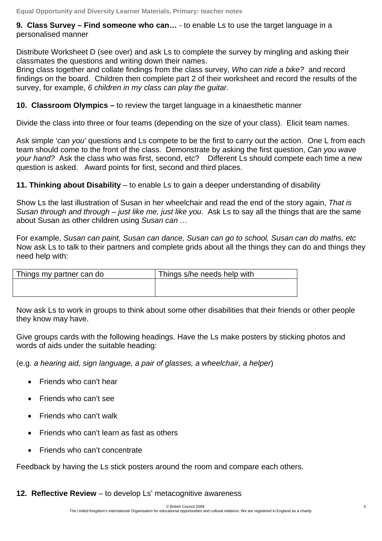**9***.* **Class Survey – Find someone who can…** *-* to enable Ls to use the target language in a personalised manner

Distribute Worksheet D (see over) and ask Ls to complete the survey by mingling and asking their classmates the questions and writing down their names.

Bring class together and collate findings from the class survey, *Who can ride a bike?* and record findings on the board. Children then complete part 2 of their worksheet and record the results of the survey, for example, *6 children in my class can play the guitar.*

**10. Classroom Olympics –** to review the target language in a kinaesthetic manner

Divide the class into three or four teams (depending on the size of your class). Elicit team names.

Ask simple '*can you'* questions and Ls compete to be the first to carry out the action. One L from each team should come to the front of the class. Demonstrate by asking the first question, *Can you wave your hand?* Ask the class who was first, second, etc? Different Ls should compete each time a new question is asked. Award points for first, second and third places.

**11. Thinking about Disability** – to enable Ls to gain a deeper understanding of disability

Show Ls the last illustration of Susan in her wheelchair and read the end of the story again, *That is Susan through and through – just like me, just like you*. Ask Ls to say all the things that are the same about Susan as other children using *Susan can …*

For example, *Susan can paint, Susan can dance, Susan can go to school, Susan can do maths, etc*  Now ask Ls to talk to their partners and complete grids about all the things they can do and things they need help with:

| Things my partner can do | Things s/he needs help with |
|--------------------------|-----------------------------|
|                          |                             |
|                          |                             |

Now ask Ls to work in groups to think about some other disabilities that their friends or other people they know may have.

Give groups cards with the following headings. Have the Ls make posters by sticking photos and words of aids under the suitable heading:

(e.g. *a hearing aid, sign language, a pair of glasses, a wheelchair, a helper*)

- Friends who can't hear
- Friends who can't see
- Friends who can't walk
- Friends who can't learn as fast as others
- Friends who can't concentrate

Feedback by having the Ls stick posters around the room and compare each others.

#### **12. Reflective Review** – to develop Ls' metacognitive awareness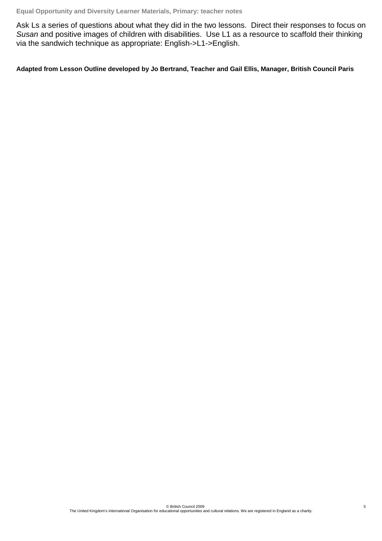Ask Ls a series of questions about what they did in the two lessons. Direct their responses to focus on *Susan* and positive images of children with disabilities. Use L1 as a resource to scaffold their thinking via the sandwich technique as appropriate: English->L1->English.

**Adapted from Lesson Outline developed by Jo Bertrand, Teacher and Gail Ellis, Manager, British Council Paris**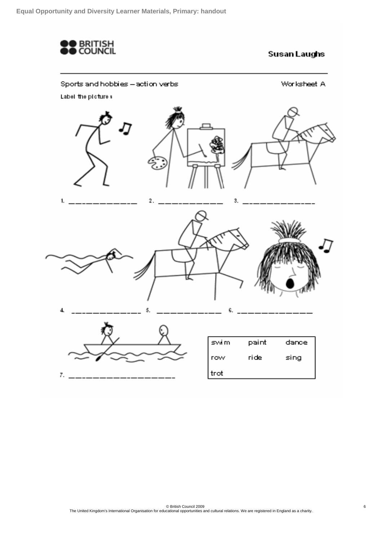

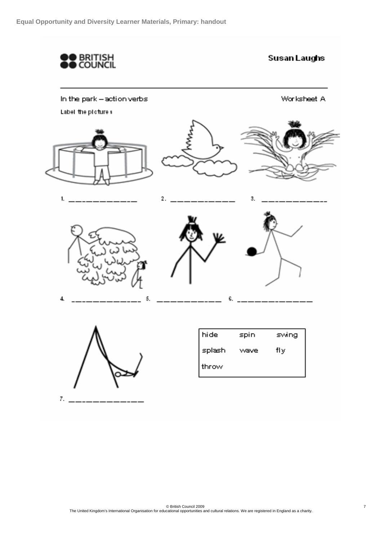

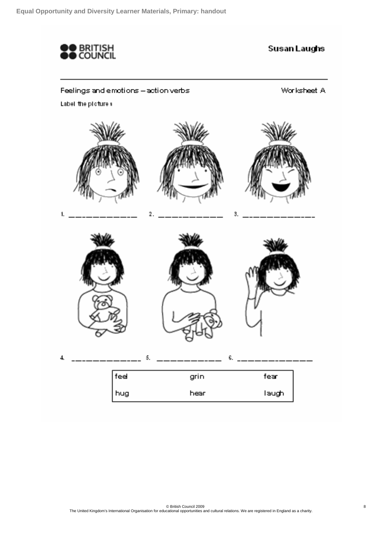

### Feelings and emotions - action verbs

Worksheet A

Label the picture **x** 

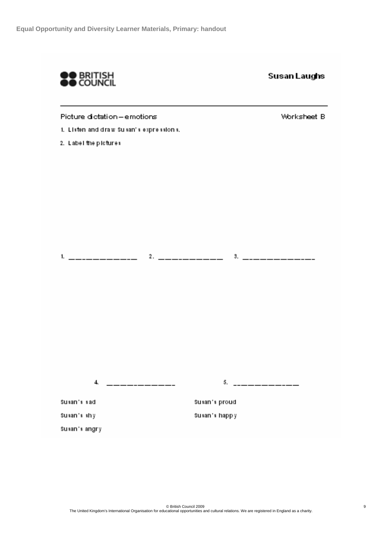

**Susan Laughs** 

Picture dictation-emotions

1. Listen and draw Susan's expressions.

2. Label the pictures

Sukan's angry

Worksheet B

<u> 5. \_\_\_\_\_\_\_\_\_\_\_\_\_\_\_</u>  $4 -$  \_\_\_\_\_\_\_\_\_\_\_\_\_ Sukan's sad Susan's proud. Sukan's shiji Susan's happy